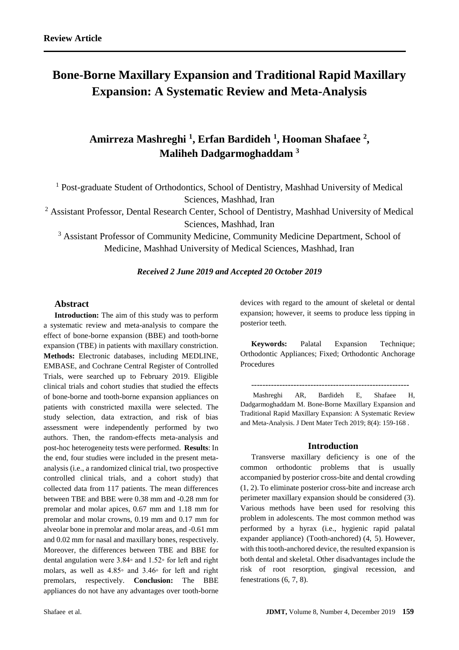# **Bone-Borne Maxillary Expansion and Traditional Rapid Maxillary Expansion: A Systematic Review and Meta-Analysis**

# **Amirreza Mashreghi <sup>1</sup> , Erfan Bardideh <sup>1</sup> , Hooman Shafaee <sup>2</sup> , Maliheh Dadgarmoghaddam <sup>3</sup>**

<sup>1</sup> Post-graduate Student of Orthodontics, School of Dentistry, Mashhad University of Medical Sciences, Mashhad, Iran

<sup>2</sup> Assistant Professor, Dental Research Center, School of Dentistry, Mashhad University of Medical Sciences, Mashhad, Iran

<sup>3</sup> Assistant Professor of Community Medicine, Community Medicine Department, School of Medicine, Mashhad University of Medical Sciences, Mashhad, Iran

#### *Received 2 June 2019 and Accepted 20 October 2019*

## **Abstract**

**Introduction:** The aim of this study was to perform a systematic review and meta-analysis to compare the effect of bone-borne expansion (BBE) and tooth-borne expansion (TBE) in patients with maxillary constriction. **Methods:** Electronic databases, including MEDLINE, EMBASE, and Cochrane Central Register of Controlled Trials, were searched up to February 2019. Eligible clinical trials and cohort studies that studied the effects of bone-borne and tooth-borne expansion appliances on patients with constricted maxilla were selected. The study selection, data extraction, and risk of bias assessment were independently performed by two authors. Then, the random-effects meta-analysis and post-hoc heterogeneity tests were performed. **Results**: In the end, four studies were included in the present metaanalysis (i.e., a randomized clinical trial, two prospective controlled clinical trials, and a cohort study) that collected data from 117 patients. The mean differences between TBE and BBE were 0.38 mm and -0.28 mm for premolar and molar apices, 0.67 mm and 1.18 mm for premolar and molar crowns, 0.19 mm and 0.17 mm for alveolar bone in premolar and molar areas, and -0.61 mm and 0.02 mm for nasal and maxillary bones, respectively. Moreover, the differences between TBE and BBE for dental angulation were 3.84◦ and 1.52◦ for left and right molars, as well as 4.85◦ and 3.46◦ for left and right premolars, respectively. **Conclusion:** The BBE appliances do not have any advantages over tooth-borne devices with regard to the amount of skeletal or dental expansion; however, it seems to produce less tipping in posterior teeth.

**Keywords:** Palatal Expansion Technique; Orthodontic Appliances; Fixed; Orthodontic Anchorage Procedures

--------------------------------------------------------

Mashreghi AR, Bardideh E, Shafaee H, Dadgarmoghaddam M. Bone-Borne Maxillary Expansion and Traditional Rapid Maxillary Expansion: A Systematic Review and Meta-Analysis. J Dent Mater Tech 2019; 8(4): 159-168 .

#### **Introduction**

Transverse maxillary deficiency is one of the common orthodontic problems that is usually accompanied by posterior cross-bite and dental crowding (1, 2).To eliminate posterior cross-bite and increase arch perimeter maxillary expansion should be considered (3). Various methods have been used for resolving this problem in adolescents. The most common method was performed by a hyrax (i.e., hygienic rapid palatal expander appliance) (Tooth-anchored) (4, 5). However, with this tooth-anchored device, the resulted expansion is both dental and skeletal. Other disadvantages include the risk of root resorption, gingival recession, and fenestrations (6, 7, 8).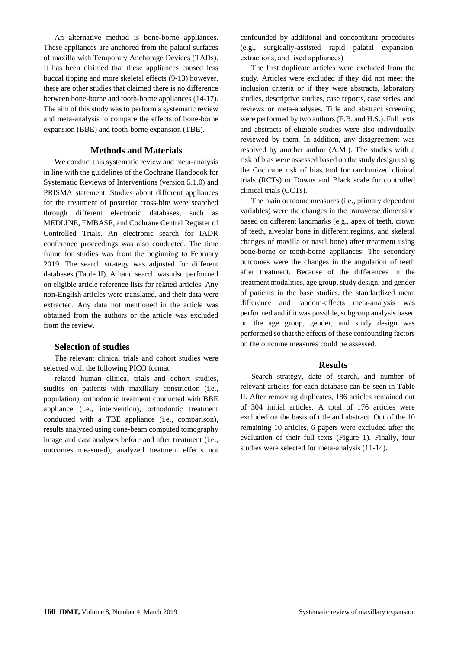An alternative method is bone-borne appliances. These appliances are anchored from the palatal surfaces of maxilla with Temporary Anchorage Devices (TADs). It has been claimed that these appliances caused less buccal tipping and more skeletal effects (9-13) however, there are other studies that claimed there is no difference between bone-borne and tooth-borne appliances (14-17). The aim of this study was to perform a systematic review and meta-analysis to compare the effects of bone-borne expansion (BBE) and tooth-borne expansion (TBE).

#### **Methods and Materials**

We conduct this systematic review and meta-analysis in line with the guidelines of the Cochrane Handbook for Systematic Reviews of Interventions (version 5.1.0) and PRISMA statement. Studies about different appliances for the treatment of posterior cross-bite were searched through different electronic databases, such as MEDLINE, EMBASE, and Cochrane Central Register of Controlled Trials. An electronic search for IADR conference proceedings was also conducted. The time frame for studies was from the beginning to February 2019. The search strategy was adjusted for different databases (Table II). A hand search was also performed on eligible article reference lists for related articles. Any non-English articles were translated, and their data were extracted. Any data not mentioned in the article was obtained from the authors or the article was excluded from the review.

#### **Selection of studies**

The relevant clinical trials and cohort studies were selected with the following PICO format:

related human clinical trials and cohort studies, studies on patients with maxillary constriction (i.e., population), orthodontic treatment conducted with BBE appliance (i.e., intervention), orthodontic treatment conducted with a TBE appliance (i.e., comparison), results analyzed using cone-beam computed tomography image and cast analyses before and after treatment (i.e., outcomes measured), analyzed treatment effects not

confounded by additional and concomitant procedures (e.g., surgically-assisted rapid palatal expansion, extractions, and fixed appliances)

The first duplicate articles were excluded from the study. Articles were excluded if they did not meet the inclusion criteria or if they were abstracts, laboratory studies, descriptive studies, case reports, case series, and reviews or meta-analyses. Title and abstract screening were performed by two authors (E.B. and H.S.). Full texts and abstracts of eligible studies were also individually reviewed by them. In addition, any disagreement was resolved by another author (A.M.). The studies with a risk of bias were assessed based on the study design using the Cochrane risk of bias tool for randomized clinical trials (RCTs) or Downs and Black scale for controlled clinical trials (CCTs).

The main outcome measures (i.e., primary dependent variables) were the changes in the transverse dimension based on different landmarks (e.g., apex of teeth, crown of teeth, alveolar bone in different regions, and skeletal changes of maxilla or nasal bone) after treatment using bone-borne or tooth-borne appliances. The secondary outcomes were the changes in the angulation of teeth after treatment. Because of the differences in the treatment modalities, age group, study design, and gender of patients in the base studies, the standardized mean difference and random-effects meta-analysis was performed and if it was possible, subgroup analysis based on the age group, gender, and study design was performed so that the effects of these confounding factors on the outcome measures could be assessed.

#### **Results**

Search strategy, date of search, and number of relevant articles for each database can be seen in Table II. After removing duplicates, 186 articles remained out of 304 initial articles. A total of 176 articles were excluded on the basis of title and abstract. Out of the 10 remaining 10 articles, 6 papers were excluded after the evaluation of their full texts (Figure 1). Finally, four studies were selected for meta-analysis (11-14).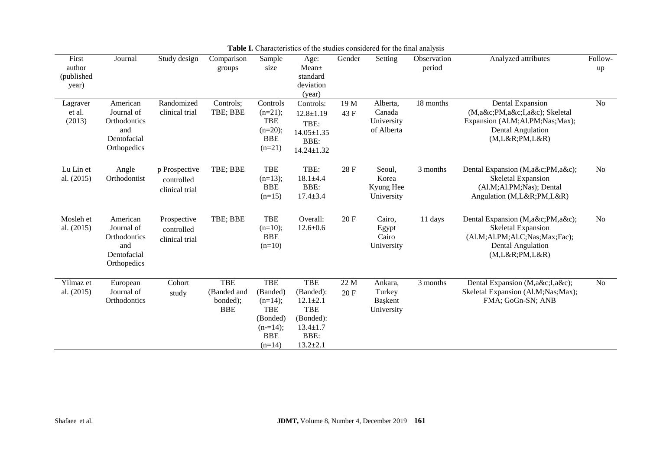| First<br>author<br>(published<br>year) | Journal                                                                     | Study design                                  | Comparison<br>groups                                | Sample<br>size                                                                                       | Age:<br>Mean <sub>±</sub><br>standard<br>deviation<br>(year)                                                     | Gender       | Setting                                        | Observation<br>period | Analyzed attributes                                                                                                                  | Follow-<br>up  |
|----------------------------------------|-----------------------------------------------------------------------------|-----------------------------------------------|-----------------------------------------------------|------------------------------------------------------------------------------------------------------|------------------------------------------------------------------------------------------------------------------|--------------|------------------------------------------------|-----------------------|--------------------------------------------------------------------------------------------------------------------------------------|----------------|
| Lagraver<br>et al.<br>(2013)           | American<br>Journal of<br>Orthodontics<br>and<br>Dentofacial<br>Orthopedics | Randomized<br>clinical trial                  | Controls;<br>TBE; BBE                               | Controls<br>$(n=21);$<br><b>TBE</b><br>$(n=20);$<br><b>BBE</b><br>$(n=21)$                           | Controls:<br>$12.8 \pm 1.19$<br>TBE:<br>$14.05 \pm 1.35$<br>BBE:<br>$14.24 \pm 1.32$                             | 19 M<br>43 F | Alberta,<br>Canada<br>University<br>of Alberta | 18 months             | Dental Expansion<br>(M,a&cPM,a&cI,a&c); Skeletal<br>Expansion (Al.M;Al.PM;Nas;Max);<br><b>Dental Angulation</b><br>(M,L&RPM,L&R)     | N <sub>o</sub> |
| Lu Lin et<br>al. (2015)                | Angle<br>Orthodontist                                                       | p Prospective<br>controlled<br>clinical trial | TBE; BBE                                            | <b>TBE</b><br>$(n=13);$<br><b>BBE</b><br>$(n=15)$                                                    | TBE:<br>$18.1 \pm 4.4$<br>BBE:<br>$17.4 \pm 3.4$                                                                 | 28 F         | Seoul,<br>Korea<br>Kyung Hee<br>University     | 3 months              | Dental Expansion (M,a&cPM,a&c);<br>Skeletal Expansion<br>(Al.M;Al.PM;Nas); Dental<br>Angulation (M,L&RPM,L&R)                        | <b>No</b>      |
| Mosleh et<br>al. (2015)                | American<br>Journal of<br>Orthodontics<br>and<br>Dentofacial<br>Orthopedics | Prospective<br>controlled<br>clinical trial   | TBE; BBE                                            | <b>TBE</b><br>$(n=10);$<br><b>BBE</b><br>$(n=10)$                                                    | Overall:<br>$12.6 \pm 0.6$                                                                                       | 20 F         | Cairo,<br>Egypt<br>Cairo<br>University         | 11 days               | Dental Expansion (M,a&cPM,a&c);<br>Skeletal Expansion<br>(Al.M;Al.PM;Al.C;Nas;Max;Fac);<br><b>Dental Angulation</b><br>(M,L&RPM,L&R) | No             |
| Yilmaz et<br>al. (2015)                | European<br>Journal of<br>Orthodontics                                      | Cohort<br>study                               | <b>TBE</b><br>(Banded and<br>bonded);<br><b>BBE</b> | <b>TBE</b><br>(Banded)<br>$(n=14);$<br><b>TBE</b><br>(Bonded)<br>$(n=14);$<br><b>BBE</b><br>$(n=14)$ | <b>TBE</b><br>(Banded):<br>$12.1 \pm 2.1$<br><b>TBE</b><br>(Bonded):<br>$13.4 \pm 1.7$<br>BBE:<br>$13.2 \pm 2.1$ | 22 M<br>20 F | Ankara,<br>Turkey<br>Başkent<br>University     | 3 months              | Dental Expansion (M,a&cI,a&c);<br>Skeletal Expansion (Al.M;Nas;Max);<br>FMA; GoGn-SN; ANB                                            | N <sub>o</sub> |

**Table I.** Characteristics of the studies considered for the final analysis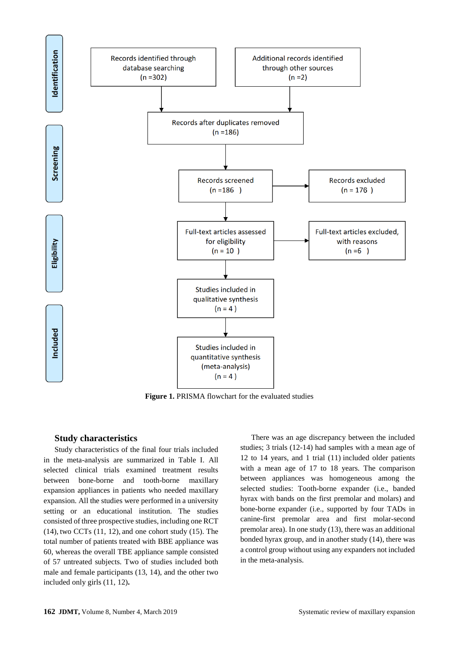

**Figure 1.** PRISMA flowchart for the evaluated studies

#### **Study characteristics**

Study characteristics of the final four trials included in the meta-analysis are summarized in Table I. All selected clinical trials examined treatment results between bone-borne and tooth-borne maxillary expansion appliances in patients who needed maxillary expansion. All the studies were performed in a university setting or an educational institution. The studies consisted of three prospective studies, including one RCT  $(14)$ , two CCTs  $(11, 12)$ , and one cohort study  $(15)$ . The total number of patients treated with BBE appliance was 60, whereas the overall TBE appliance sample consisted of 57 untreated subjects. Two of studies included both male and female participants (13, 14), and the other two included only girls (11, 12)**.**

There was an age discrepancy between the included studies; 3 trials (12-14) had samples with a mean age of 12 to 14 years, and 1 trial (11) included older patients with a mean age of 17 to 18 years. The comparison between appliances was homogeneous among the selected studies: Tooth-borne expander (i.e., banded hyrax with bands on the first premolar and molars) and bone-borne expander (i.e., supported by four TADs in canine-first premolar area and first molar-second premolar area). In one study (13), there was an additional bonded hyrax group, and in another study (14), there was a control group without using any expanders not included in the meta-analysis.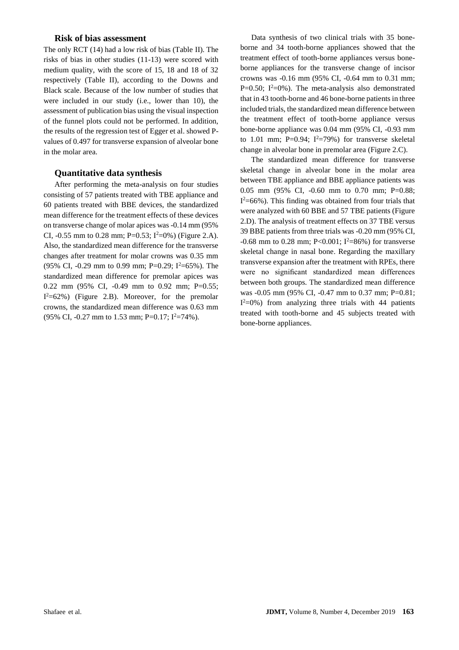#### **Risk of bias assessment**

The only RCT (14) had a low risk of bias (Table II). The risks of bias in other studies (11-13) were scored with medium quality, with the score of 15, 18 and 18 of 32 respectively (Table II), according to the Downs and Black scale. Because of the low number of studies that were included in our study (i.e., lower than 10), the assessment of publication bias using the visual inspection of the funnel plots could not be performed. In addition, the results of the regression test of Egger et al. showed Pvalues of 0.497 for transverse expansion of alveolar bone in the molar area.

#### **Quantitative data synthesis**

After performing the meta-analysis on four studies consisting of 57 patients treated with TBE appliance and 60 patients treated with BBE devices, the standardized mean difference for the treatment effects of these devices on transverse change of molar apices was -0.14 mm (95% CI,  $-0.55$  mm to 0.28 mm; P=0.53; I<sup>2</sup>=0%) (Figure 2.A). Also, the standardized mean difference for the transverse changes after treatment for molar crowns was 0.35 mm (95% CI, -0.29 mm to 0.99 mm; P=0.29;  $I^2$ =65%). The standardized mean difference for premolar apices was 0.22 mm (95% CI, -0.49 mm to 0.92 mm; P=0.55;  $I<sup>2</sup>=62%$ ) (Figure 2.B). Moreover, for the premolar crowns, the standardized mean difference was 0.63 mm (95% CI, -0.27 mm to 1.53 mm; P=0.17;  $I^2$ =74%).

Data synthesis of two clinical trials with 35 boneborne and 34 tooth-borne appliances showed that the treatment effect of tooth-borne appliances versus boneborne appliances for the transverse change of incisor crowns was -0.16 mm (95% CI, -0.64 mm to 0.31 mm; P=0.50;  $I^2$ =0%). The meta-analysis also demonstrated that in 43 tooth-borne and 46 bone-borne patients in three included trials, the standardized mean difference between the treatment effect of tooth-borne appliance versus bone-borne appliance was 0.04 mm (95% CI, -0.93 mm to 1.01 mm;  $P=0.94$ ;  $I^2=79%$ ) for transverse skeletal change in alveolar bone in premolar area (Figure 2.C).

The standardized mean difference for transverse skeletal change in alveolar bone in the molar area between TBE appliance and BBE appliance patients was 0.05 mm (95% CI, -0.60 mm to 0.70 mm; P=0.88;  $I<sup>2</sup>=66%$ ). This finding was obtained from four trials that were analyzed with 60 BBE and 57 TBE patients (Figure 2.D). The analysis of treatment effects on 37 TBE versus 39 BBE patients from three trials was -0.20 mm (95% CI,  $-0.68$  mm to 0.28 mm; P<0.001; I<sup>2</sup>=86%) for transverse skeletal change in nasal bone. Regarding the maxillary transverse expansion after the treatment with RPEs, there were no significant standardized mean differences between both groups. The standardized mean difference was -0.05 mm (95% CI, -0.47 mm to 0.37 mm; P=0.81;  $I<sup>2</sup>=0%$ ) from analyzing three trials with 44 patients treated with tooth-borne and 45 subjects treated with bone-borne appliances.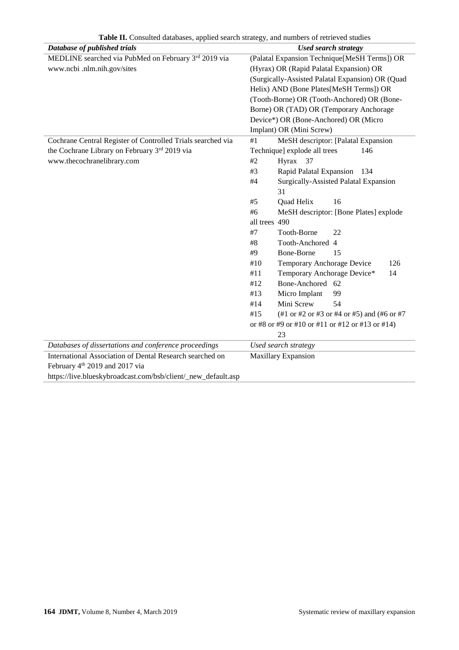| Database of published trials                                  | <b>Used search strategy</b>                       |  |  |  |
|---------------------------------------------------------------|---------------------------------------------------|--|--|--|
| MEDLINE searched via PubMed on February 3rd 2019 via          | (Palatal Expansion Technique [MeSH Terms]) OR     |  |  |  |
| www.ncbi .nlm.nih.gov/sites                                   | (Hyrax) OR (Rapid Palatal Expansion) OR           |  |  |  |
|                                                               | (Surgically-Assisted Palatal Expansion) OR (Quad  |  |  |  |
|                                                               | Helix) AND (Bone Plates[MeSH Terms]) OR           |  |  |  |
|                                                               | (Tooth-Borne) OR (Tooth-Anchored) OR (Bone-       |  |  |  |
|                                                               | Borne) OR (TAD) OR (Temporary Anchorage           |  |  |  |
|                                                               | Device*) OR (Bone-Anchored) OR (Micro             |  |  |  |
|                                                               | Implant) OR (Mini Screw)                          |  |  |  |
| Cochrane Central Register of Controlled Trials searched via   | $\#1$<br>MeSH descriptor: [Palatal Expansion      |  |  |  |
| the Cochrane Library on February 3rd 2019 via                 | Technique] explode all trees<br>146               |  |  |  |
| www.thecochranelibrary.com                                    | Hyrax 37<br>#2                                    |  |  |  |
|                                                               | Rapid Palatal Expansion<br>#3<br>134              |  |  |  |
|                                                               | Surgically-Assisted Palatal Expansion<br>$\#4$    |  |  |  |
|                                                               | 31                                                |  |  |  |
|                                                               | Quad Helix<br>16<br>#5                            |  |  |  |
|                                                               | #6<br>MeSH descriptor: [Bone Plates] explode      |  |  |  |
|                                                               | all trees 490                                     |  |  |  |
|                                                               | $\#7$<br>Tooth-Borne<br>22                        |  |  |  |
|                                                               | Tooth-Anchored 4<br>#8                            |  |  |  |
|                                                               | <b>Bone-Borne</b><br>#9<br>15                     |  |  |  |
|                                                               | Temporary Anchorage Device<br>#10<br>126          |  |  |  |
|                                                               | Temporary Anchorage Device*<br>#11<br>14          |  |  |  |
|                                                               | Bone-Anchored 62<br>#12                           |  |  |  |
|                                                               | Micro Implant<br>#13<br>99                        |  |  |  |
|                                                               | Mini Screw<br>54<br>#14                           |  |  |  |
|                                                               | #15<br>(#1 or #2 or #3 or #4 or #5) and (#6 or #7 |  |  |  |
|                                                               | or #8 or #9 or #10 or #11 or #12 or #13 or #14)   |  |  |  |
|                                                               | 23                                                |  |  |  |
| Databases of dissertations and conference proceedings         | Used search strategy                              |  |  |  |
| International Association of Dental Research searched on      | <b>Maxillary Expansion</b>                        |  |  |  |
| February 4 <sup>th</sup> 2019 and 2017 via                    |                                                   |  |  |  |
| https://live.blueskybroadcast.com/bsb/client/_new_default.asp |                                                   |  |  |  |

**Table II.** Consulted databases, applied search strategy, and numbers of retrieved studies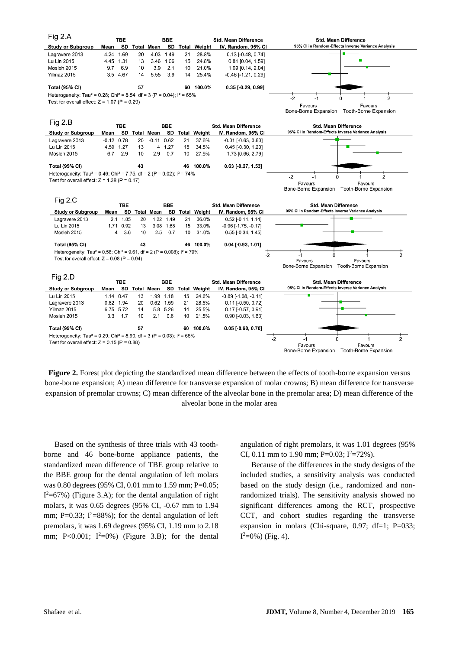

**Figure 2.** Forest plot depicting the standardized mean difference between the effects of tooth-borne expansion versus bone-borne expansion; A) mean difference for transverse expansion of molar crowns; B) mean difference for transverse expansion of premolar crowns; C) mean difference of the alveolar bone in the premolar area; D) mean difference of the alveolar bone in the molar area

Based on the synthesis of three trials with 43 toothborne and 46 bone-borne appliance patients, the standardized mean difference of TBE group relative to the BBE group for the dental angulation of left molars was 0.80 degrees (95% CI, 0.01 mm to 1.59 mm; P=0.05;  $I<sup>2</sup>=67%$ ) (Figure 3.A); for the dental angulation of right molars, it was 0.65 degrees (95% CI, -0.67 mm to 1.94 mm; P=0.33;  $I^2=88\%$ ; for the dental angulation of left premolars, it was 1.69 degrees (95% CI, 1.19 mm to 2.18 mm; P<0.001;  $I^2=0\%$ ) (Figure 3.B); for the dental angulation of right premolars, it was 1.01 degrees (95% CI, 0.11 mm to 1.90 mm; P=0.03;  $I^2 = 72\%$ ).

Because of the differences in the study designs of the included studies, a sensitivity analysis was conducted based on the study design (i.e., randomized and nonrandomized trials). The sensitivity analysis showed no significant differences among the RCT, prospective CCT, and cohort studies regarding the transverse expansion in molars (Chi-square, 0.97; df=1; P=033;  $I^2=0\%$ ) (Fig. 4).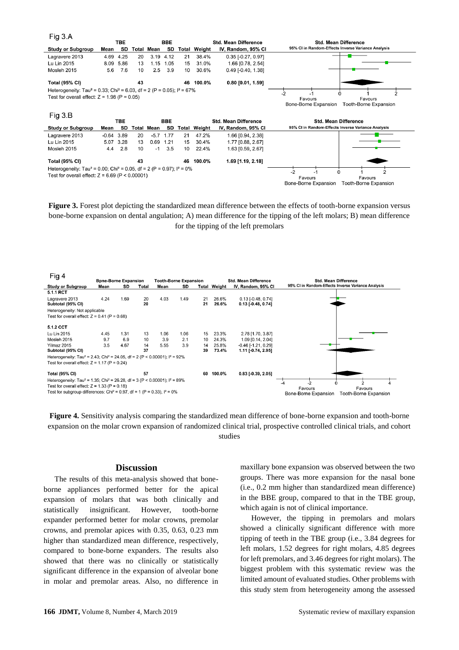| Fig 3.A                                                                                                 |              |           |       |            |      |       |                             |                                  |                                                    |  |  |
|---------------------------------------------------------------------------------------------------------|--------------|-----------|-------|------------|------|-------|-----------------------------|----------------------------------|----------------------------------------------------|--|--|
|                                                                                                         | TBE.         |           |       | <b>BBE</b> |      |       |                             | <b>Std. Mean Difference</b>      | <b>Std. Mean Difference</b>                        |  |  |
| <b>Study or Subgroup</b>                                                                                | Mean         | SD        | Total | Mean       | SD   | Total | Weight                      | IV, Random, 95% CI               | 95% CI in Random-Effects Inverse Variance Analysis |  |  |
| Lagravere 2013                                                                                          |              | 4.69 4.25 | 20    | 3.19       | 4.12 | 21    | 38.4%                       | $0.35$ [-0.27, 0.97]             |                                                    |  |  |
| Lu Lin 2015                                                                                             | 8.09         | 5.86      | 13    | 1.15       | 1.05 | 15    | 31.0%                       | 1.66 [0.78, 2.54]                |                                                    |  |  |
| Mosleh 2015                                                                                             | 5.6          | 7.6       | 10    | 2.5        | 3.9  | 10    | 30.6%                       | $0.49$ [-0.40, 1.38]             |                                                    |  |  |
| <b>Total (95% CI)</b>                                                                                   |              |           | 43    |            |      | 46    | 100.0%                      | $0.80$ [0.01, 1.59]              |                                                    |  |  |
| Heterogeneity: Tau <sup>2</sup> = 0.33; Chi <sup>2</sup> = 6.03, df = 2 (P = 0.05); $1^2$ = 67%         |              |           |       |            |      |       |                             |                                  |                                                    |  |  |
| Test for overall effect: $Z = 1.98$ (P = 0.05)                                                          |              |           |       |            |      |       |                             | $-2$<br>Favours<br>Favours       |                                                    |  |  |
|                                                                                                         |              |           |       |            |      |       |                             |                                  | Bone-Borne Expansion<br>Tooth-Borne Expansion      |  |  |
|                                                                                                         |              |           |       |            |      |       |                             |                                  |                                                    |  |  |
| Fig 3.B                                                                                                 |              |           |       |            |      |       |                             |                                  |                                                    |  |  |
|                                                                                                         | <b>TBE</b>   |           |       | <b>BBE</b> |      |       | <b>Std. Mean Difference</b> |                                  | <b>Std. Mean Difference</b>                        |  |  |
| <b>Study or Subgroup</b>                                                                                | Mean         | SD        | Total | Mean       | SD   | Total | Weight                      | IV, Random, 95% CI               | 95% CI in Random-Effects Inverse Variance Analysis |  |  |
| Lagravere 2013                                                                                          | $-0.64$ 3.89 |           | 20    | $-5.7$     | 1.77 | 21    | 47.2%                       | 1.66 [0.94, 2.38]                |                                                    |  |  |
| Lu Lin 2015                                                                                             | 5.07         | 3.28      | 13    | 0.69       | 1.21 | 15    | 30.4%                       | 1.77 [0.88, 2.67]                |                                                    |  |  |
| Mosleh 2015                                                                                             | 4.4          | 2.8       | 10    | $-1$       | 3.5  | 10    | 22.4%                       | 1.63 [0.59, 2.67]                |                                                    |  |  |
| <b>Total (95% CI)</b>                                                                                   |              |           | 43    |            |      | 46    | 100.0%                      | 1.69 [1.19, 2.18]                |                                                    |  |  |
| Heterogeneity: Tau <sup>2</sup> = 0.00; Chi <sup>2</sup> = 0.05, df = 2 (P = 0.97); l <sup>2</sup> = 0% |              |           |       |            |      |       |                             |                                  |                                                    |  |  |
| Test for overall effect: $Z = 6.69$ (P < 0.00001)                                                       |              |           |       |            |      |       |                             | -2<br>$\mathcal{P}$<br>U<br>$-1$ |                                                    |  |  |
|                                                                                                         |              |           |       |            |      |       |                             |                                  | Favours<br>Favours                                 |  |  |

**Figure 3.** Forest plot depicting the standardized mean difference between the effects of tooth-borne expansion versus bone-borne expansion on dental angulation; A) mean difference for the tipping of the left molars; B) mean difference for the tipping of the left premolars



**Figure 4.** Sensitivity analysis comparing the standardized mean difference of bone-borne expansion and tooth-borne expansion on the molar crown expansion of randomized clinical trial, prospective controlled clinical trials, and cohort studies

#### **Discussion**

The results of this meta-analysis showed that boneborne appliances performed better for the apical expansion of molars that was both clinically and statistically insignificant. However, tooth-borne expander performed better for molar crowns, premolar crowns, and premolar apices with 0.35, 0.63, 0.23 mm higher than standardized mean difference, respectively, compared to bone-borne expanders. The results also showed that there was no clinically or statistically significant difference in the expansion of alveolar bone in molar and premolar areas. Also, no difference in maxillary bone expansion was observed between the two groups. There was more expansion for the nasal bone (i.e., 0.2 mm higher than standardized mean difference) in the BBE group, compared to that in the TBE group, which again is not of clinical importance.

However, the tipping in premolars and molars showed a clinically significant difference with more tipping of teeth in the TBE group (i.e., 3.84 degrees for left molars, 1.52 degrees for right molars, 4.85 degrees for left premolars, and 3.46 degrees for right molars). The biggest problem with this systematic review was the limited amount of evaluated studies. Other problems with this study stem from heterogeneity among the assessed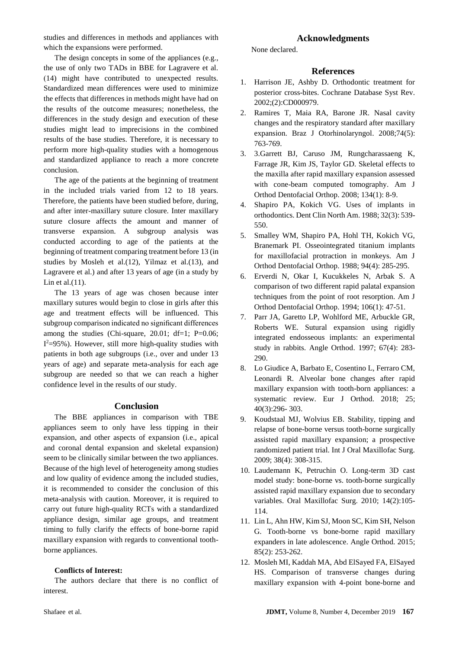studies and differences in methods and appliances with which the expansions were performed.

The design concepts in some of the appliances (e.g., the use of only two TADs in BBE for Lagravere et al. )14) might have contributed to unexpected results. Standardized mean differences were used to minimize the effects that differences in methods might have had on the results of the outcome measures; nonetheless, the differences in the study design and execution of these studies might lead to imprecisions in the combined results of the base studies. Therefore, it is necessary to perform more high-quality studies with a homogenous and standardized appliance to reach a more concrete conclusion.

The age of the patients at the beginning of treatment in the included trials varied from 12 to 18 years. Therefore, the patients have been studied before, during, and after inter-maxillary suture closure. Inter maxillary suture closure affects the amount and manner of transverse expansion. A subgroup analysis was conducted according to age of the patients at the beginning of treatment comparing treatment before 13 (in studies by Mosleh et al.(12), Yilmaz et al.(13), and Lagravere et al.) and after 13 years of age (in a study by Lin et al. $(11)$ .

The 13 years of age was chosen because inter maxillary sutures would begin to close in girls after this age and treatment effects will be influenced. This subgroup comparison indicated no significant differences among the studies (Chi-square, 20.01; df=1;  $P=0.06$ ;  $I<sup>2</sup>=95%$ ). However, still more high-quality studies with patients in both age subgroups (i.e., over and under 13 years of age) and separate meta-analysis for each age subgroup are needed so that we can reach a higher confidence level in the results of our study.

#### **Conclusion**

The BBE appliances in comparison with TBE appliances seem to only have less tipping in their expansion, and other aspects of expansion (i.e., apical and coronal dental expansion and skeletal expansion) seem to be clinically similar between the two appliances. Because of the high level of heterogeneity among studies and low quality of evidence among the included studies, it is recommended to consider the conclusion of this meta-analysis with caution. Moreover, it is required to carry out future high-quality RCTs with a standardized appliance design, similar age groups, and treatment timing to fully clarify the effects of bone-borne rapid maxillary expansion with regards to conventional toothborne appliances.

#### **Conflicts of Interest:**

The authors declare that there is no conflict of interest.

### **Acknowledgments**

None declared.

#### **References**

- 1. Harrison JE, Ashby D. Orthodontic treatment for posterior cross-bites. Cochrane Database Syst Rev. 2002;(2):CD000979.
- 2. Ramires T, Maia RA, Barone JR. Nasal cavity changes and the respiratory standard after maxillary expansion. Braz J Otorhinolaryngol. 2008;74(5): 763-769.
- 3. 3.Garrett BJ, Caruso JM, Rungcharassaeng K, Farrage JR, Kim JS, Taylor GD. Skeletal effects to the maxilla after rapid maxillary expansion assessed with cone-beam computed tomography. Am J Orthod Dentofacial Orthop. 2008; 134(1): 8-9.
- 4. Shapiro PA, Kokich VG. Uses of implants in orthodontics. Dent Clin North Am. 1988; 32(3): 539- 550.
- 5. Smalley WM, Shapiro PA, Hohl TH, Kokich VG, Branemark PI. Osseointegrated titanium implants for maxillofacial protraction in monkeys. Am J Orthod Dentofacial Orthop. 1988; 94(4): 285-295.
- 6. Erverdi N, Okar I, Kucukkeles N, Arbak S. A comparison of two different rapid palatal expansion techniques from the point of root resorption. Am J Orthod Dentofacial Orthop. 1994; 106(1): 47-51.
- 7. Parr JA, Garetto LP, Wohlford ME, Arbuckle GR, Roberts WE. Sutural expansion using rigidly integrated endosseous implants: an experimental study in rabbits. Angle Orthod. 1997; 67(4): 283- 290.
- 8. Lo Giudice A, Barbato E, Cosentino L, Ferraro CM, Leonardi R. Alveolar bone changes after rapid maxillary expansion with tooth-born appliances: a systematic review. Eur J Orthod. 2018; 25; 40(3):296- 303.
- 9. Koudstaal MJ, Wolvius EB. Stability, tipping and relapse of bone-borne versus tooth-borne surgically assisted rapid maxillary expansion; a prospective randomized patient trial. Int J Oral Maxillofac Surg. 2009; 38(4): 308-315.
- 10. Laudemann K, Petruchin O. Long-term 3D cast model study: bone-borne vs. tooth-borne surgically assisted rapid maxillary expansion due to secondary variables. Oral Maxillofac Surg. 2010; 14(2):105- 114.
- 11. Lin L, Ahn HW, Kim SJ, Moon SC, Kim SH, Nelson G. Tooth-borne vs bone-borne rapid maxillary expanders in late adolescence. Angle Orthod. 2015; 85(2): 253-262.
- 12. Mosleh MI, Kaddah MA, Abd ElSayed FA, ElSayed HS. Comparison of transverse changes during maxillary expansion with 4-point bone-borne and